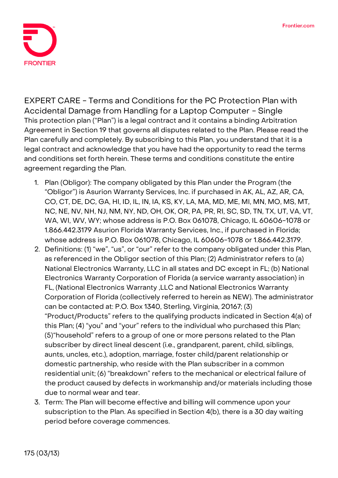

**EXPERT CARE - Terms and Conditions for the PC Protection Plan with Accidental Damage from Handling for a Laptop Computer - Single** This protection plan ("Plan") is a legal contract and it contains a binding Arbitration Agreement in Section 19 that governs all disputes related to the Plan. Please read the Plan carefully and completely. By subscribing to this Plan, you understand that it is a legal contract and acknowledge that you have had the opportunity to read the terms and conditions set forth herein. These terms and conditions constitute the entire agreement regarding the Plan.

- 1. **Plan (Obligor):** The company obligated by this Plan under the Program (the "Obligor") is Asurion Warranty Services, Inc. if purchased in AK, AL, AZ, AR, CA, CO, CT, DE, DC, GA, HI, ID, IL, IN, IA, KS, KY, LA, MA, MD, ME, MI, MN, MO, MS, MT, NC, NE, NV, NH, NJ, NM, NY, ND, OH, OK, OR, PA, PR, RI, SC, SD, TN, TX, UT, VA, VT, WA, WI, WV, WY; whose address is P.O. Box 061078, Chicago, IL 60606-1078 or 1.866.442.3179 Asurion Florida Warranty Services, Inc., if purchased in Florida; whose address is P.O. Box 061078, Chicago, IL 60606-1078 or 1.866.442.3179.
- 2. **Definitions:** (1) "we", "us", or "our" refer to the company obligated under this Plan, as referenced in the Obligor section of this Plan; (2) Administrator refers to (a) National Electronics Warranty, LLC in all states and DC except in FL; (b) National Electronics Warranty Corporation of Florida (a service warranty association) in FL, (National Electronics Warranty ,LLC and National Electronics Warranty Corporation of Florida (collectively referred to herein as NEW). The administrator can be contacted at: P.O. Box 1340, Sterling, Virginia, 20167; (3) "Product/Products" refers to the qualifying products indicated in Section 4(a) of this Plan; (4) "you" and "your" refers to the individual who purchased this Plan; (5)"household" refers to a group of one or more persons related to the Plan subscriber by direct lineal descent (i.e., grandparent, parent, child, siblings, aunts, uncles, etc.), adoption, marriage, foster child/parent relationship or domestic partnership, who reside with the Plan subscriber in a common residential unit; (6) "breakdown" refers to the mechanical or electrical failure of the product caused by defects in workmanship and/or materials including those due to normal wear and tear.
- 3. **Term:** The Plan will become effective and billing will commence upon your subscription to the Plan. As specified in Section 4(b), there is a 30 day waiting period before coverage commences.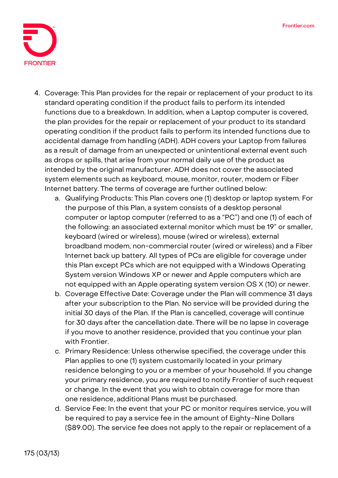

- 4. **Coverage:** This Plan provides for the repair or replacement of your product to its standard operating condition if the product fails to perform its intended functions due to a breakdown. In addition, when a Laptop computer is covered, the plan provides for the repair or replacement of your product to its standard operating condition if the product fails to perform its intended functions due to accidental damage from handling (ADH). ADH covers your Laptop from failures as a result of damage from an unexpected or unintentional external event such as drops or spills, that arise from your normal daily use of the product as intended by the original manufacturer. ADH does not cover the associated system elements such as keyboard, mouse, monitor, router, modem or Fiber Internet battery. The terms of coverage are further outlined below:
	- a. Qualifying Products: This Plan covers one (1) desktop or laptop system. For the purpose of this Plan, a system consists of a desktop personal computer or laptop computer (referred to as a "PC") and one (1) of each of the following: an associated external monitor which must be 19" or smaller, keyboard (wired or wireless), mouse (wired or wireless), external broadband modem, non-commercial router (wired or wireless) and a Fiber Internet back up battery. All types of PCs are eligible for coverage under this Plan except PCs which are not equipped with a Windows Operating System version Windows XP or newer and Apple computers which are not equipped with an Apple operating system version OS X (10) or newer.
	- b. Coverage Effective Date: **Coverage under the Plan will commence 31 days after your subscription to the Plan. No service will be provided during the initial 30 days of the Plan.** If the Plan is cancelled, coverage will continue for 30 days after the cancellation date. There will be no lapse in coverage if you move to another residence, provided that you continue your plan with Frontier.
	- c. Primary Residence: Unless otherwise specified, the coverage under this Plan applies to one (1) system customarily located in your primary residence belonging to you or a member of your household. If you change your primary residence, you are required to notify Frontier of such request or change. In the event that you wish to obtain coverage for more than one residence, additional Plans must be purchased.
	- d. Service Fee: **In the event that your PC or monitor requires service, you will be required to pay a service fee in the amount of Eighty-Nine Dollars (\$89.00).** The service fee does not apply to the repair or replacement of a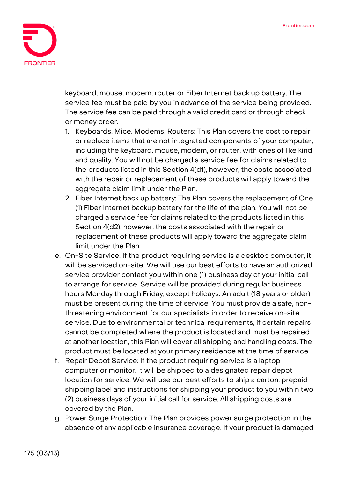

keyboard, mouse, modem, router or Fiber Internet back up battery. The service fee must be paid by you in advance of the service being provided. The service fee can be paid through a valid credit card or through check or money order.

- 1. Keyboards, Mice, Modems, Routers: This Plan covers the cost to repair or replace items that are not integrated components of your computer, including the keyboard, mouse, modem, or router, with ones of like kind and quality. You will not be charged a service fee for claims related to the products listed in this Section 4(d1), however, the costs associated with the repair or replacement of these products will apply toward the aggregate claim limit under the Plan.
- 2. Fiber Internet back up battery: The Plan covers the replacement of One (1) Fiber Internet backup battery for the life of the plan. You will not be charged a service fee for claims related to the products listed in this Section 4(d2), however, the costs associated with the repair or replacement of these products will apply toward the aggregate claim limit under the Plan
- e. On-Site Service: If the product requiring service is a desktop computer, it will be serviced on-site. We will use our best efforts to have an authorized service provider contact you within one (1) business day of your initial call to arrange for service. Service will be provided during regular business hours Monday through Friday, except holidays. An adult (18 years or older) must be present during the time of service. You must provide a safe, nonthreatening environment for our specialists in order to receive on-site service. Due to environmental or technical requirements, if certain repairs cannot be completed where the product is located and must be repaired at another location, this Plan will cover all shipping and handling costs. The product must be located at your primary residence at the time of service.
- f. Repair Depot Service: If the product requiring service is a laptop computer or monitor, it will be shipped to a designated repair depot location for service. We will use our best efforts to ship a carton, prepaid shipping label and instructions for shipping your product to you within two (2) business days of your initial call for service. All shipping costs are covered by the Plan.
- g. Power Surge Protection: The Plan provides power surge protection in the absence of any applicable insurance coverage. If your product is damaged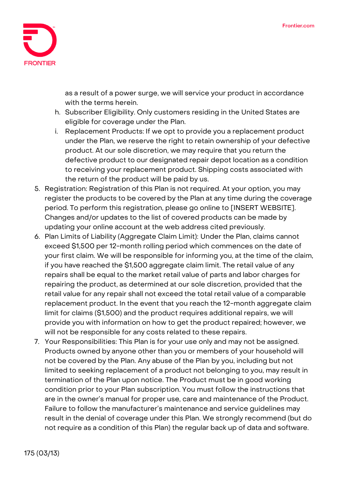

as a result of a power surge, we will service your product in accordance with the terms herein.

- h. Subscriber Eligibility. Only customers residing in the United States are eligible for coverage under the Plan.
- i. Replacement Products: If we opt to provide you a replacement product under the Plan, we reserve the right to retain ownership of your defective product. At our sole discretion, we may require that you return the defective product to our designated repair depot location as a condition to receiving your replacement product. Shipping costs associated with the return of the product will be paid by us.
- 5. **Registration:** Registration of this Plan is not required. At your option, you may register the products to be covered by the Plan at any time during the coverage period. To perform this registration, please go online to [INSERT WEBSITE]. Changes and/or updates to the list of covered products can be made by updating your online account at the web address cited previously.
- 6. **Plan Limits of Liability (Aggregate Claim Limit):** Under the Plan, claims cannot exceed \$1,500 per 12-month rolling period which commences on the date of your first claim. We will be responsible for informing you, at the time of the claim, if you have reached the \$1,500 aggregate claim limit. The retail value of any repairs shall be equal to the market retail value of parts and labor charges for repairing the product, as determined at our sole discretion, provided that the retail value for any repair shall not exceed the total retail value of a comparable replacement product. In the event that you reach the 12-month aggregate claim limit for claims (\$1,500) and the product requires additional repairs, we will provide you with information on how to get the product repaired; however, we will not be responsible for any costs related to these repairs.
- 7. **Your Responsibilities:** This Plan is for your use only and may not be assigned. Products owned by anyone other than you or members of your household will not be covered by the Plan. Any abuse of the Plan by you, including but not limited to seeking replacement of a product not belonging to you, may result in termination of the Plan upon notice. The Product must be in good working condition prior to your Plan subscription. You must follow the instructions that are in the owner's manual for proper use, care and maintenance of the Product. Failure to follow the manufacturer's maintenance and service guidelines may result in the denial of coverage under this Plan. We strongly recommend (but do not require as a condition of this Plan) the regular back up of data and software.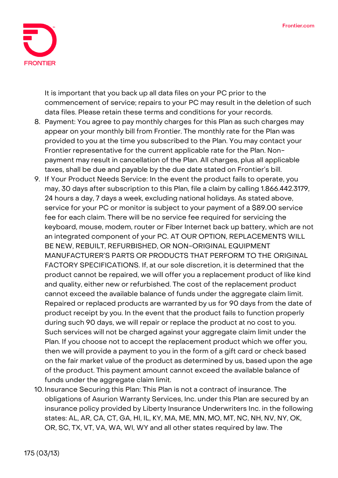

It is important that you back up all data files on your PC prior to the commencement of service; repairs to your PC may result in the deletion of such data files. Please retain these terms and conditions for your records.

- 8. **Payment:** You agree to pay monthly charges for this Plan as such charges may appear on your monthly bill from Frontier. The monthly rate for the Plan was provided to you at the time you subscribed to the Plan. You may contact your Frontier representative for the current applicable rate for the Plan. Nonpayment may result in cancellation of the Plan. All charges, plus all applicable taxes, shall be due and payable by the due date stated on Frontier's bill.
- 9. **If Your Product Needs Service:** In the event the product fails to operate, you may, 30 days after subscription to this Plan, file a claim by calling 1.866.442.3179, 24 hours a day, 7 days a week, excluding national holidays. As stated above, service for your PC or monitor is subject to your payment of a \$89.00 service fee for each claim. There will be no service fee required for servicing the keyboard, mouse, modem, router or Fiber Internet back up battery, which are not an integrated component of your PC. **AT OUR OPTION, REPLACEMENTS WILL BE NEW, REBUILT, REFURBISHED, OR NON-ORIGINAL EQUIPMENT MANUFACTURER'S PARTS OR PRODUCTS THAT PERFORM TO THE ORIGINAL FACTORY SPECIFICATIONS.** If, at our sole discretion, it is determined that the product cannot be repaired, we will offer you a replacement product of like kind and quality, either new or refurbished. The cost of the replacement product cannot exceed the available balance of funds under the aggregate claim limit. Repaired or replaced products are warranted by us for 90 days from the date of product receipt by you. In the event that the product fails to function properly during such 90 days, we will repair or replace the product at no cost to you. Such services will not be charged against your aggregate claim limit under the Plan. If you choose not to accept the replacement product which we offer you, then we will provide a payment to you in the form of a gift card or check based on the fair market value of the product as determined by us, based upon the age of the product. This payment amount cannot exceed the available balance of funds under the aggregate claim limit.
- 10. **Insurance Securing this Plan:** This Plan is not a contract of insurance. The obligations of Asurion Warranty Services, Inc. under this Plan are secured by an insurance policy provided by Liberty Insurance Underwriters Inc. in the following states: AL, AR, CA, CT, GA, HI, IL, KY, MA, ME, MN, MO, MT, NC, NH, NV, NY, OK, OR, SC, TX, VT, VA, WA, WI, WY and all other states required by law. The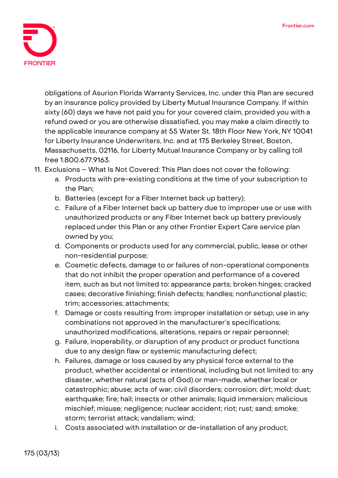

obligations of Asurion Florida Warranty Services, Inc. under this Plan are secured by an insurance policy provided by Liberty Mutual Insurance Company. If within sixty (60) days we have not paid you for your covered claim, provided you with a refund owed or you are otherwise dissatisfied, you may make a claim directly to the applicable insurance company at 55 Water St. 18th Floor New York, NY 10041 for Liberty Insurance Underwriters, Inc. and at 175 Berkeley Street, Boston, Massachusetts, 02116, for Liberty Mutual Insurance Company or by calling toll free 1.800.677.9163.

- 11. **Exclusions – What Is Not Covered:** This Plan does not cover the following:
	- a. Products with pre-existing conditions at the time of your subscription to the Plan;
	- b. Batteries (except for a Fiber Internet back up battery);
	- c. Failure of a Fiber Internet back up battery due to improper use or use with unauthorized products or any Fiber Internet back up battery previously replaced under this Plan or any other Frontier Expert Care service plan owned by you;
	- d. Components or products used for any commercial, public, lease or other non-residential purpose;
	- e. Cosmetic defects, damage to or failures of non-operational components that do not inhibit the proper operation and performance of a covered item, such as but not limited to: appearance parts; broken hinges; cracked cases; decorative finishing; finish defects; handles; nonfunctional plastic; trim; accessories; attachments;
	- f. Damage or costs resulting from: improper installation or setup; use in any combinations not approved in the manufacturer's specifications; unauthorized modifications, alterations, repairs or repair personnel;
	- g. Failure, inoperability, or disruption of any product or product functions due to any design flaw or systemic manufacturing defect;
	- h. Failures, damage or loss caused by any physical force external to the product, whether accidental or intentional, including but not limited to: any disaster, whether natural (acts of God) or man-made, whether local or catastrophic; abuse; acts of war; civil disorders; corrosion; dirt; mold; dust; earthquake; fire; hail; insects or other animals; liquid immersion; malicious mischief; misuse; negligence; nuclear accident; riot; rust; sand; smoke; storm; terrorist attack; vandalism; wind;
	- i. Costs associated with installation or de-installation of any product;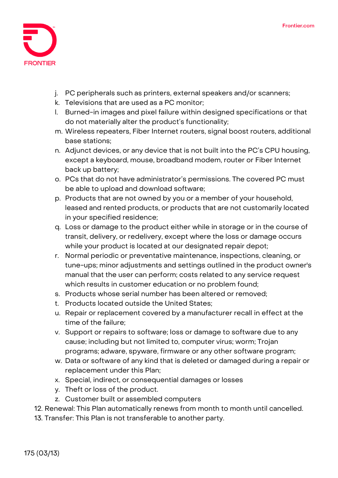

- j. PC peripherals such as printers, external speakers and/or scanners;
- k. Televisions that are used as a PC monitor;
- l. Burned-in images and pixel failure within designed specifications or that do not materially alter the product's functionality;
- m. Wireless repeaters, Fiber Internet routers, signal boost routers, additional base stations;
- n. Adjunct devices, or any device that is not built into the PC's CPU housing, except a keyboard, mouse, broadband modem, router or Fiber Internet back up battery;
- o. PCs that do not have administrator's permissions. The covered PC must be able to upload and download software;
- p. Products that are not owned by you or a member of your household, leased and rented products, or products that are not customarily located in your specified residence;
- q. Loss or damage to the product either while in storage or in the course of transit, delivery, or redelivery, except where the loss or damage occurs while your product is located at our designated repair depot;
- r. Normal periodic or preventative maintenance, inspections, cleaning, or tune-ups; minor adjustments and settings outlined in the product owner's manual that the user can perform; costs related to any service request which results in customer education or no problem found;
- s. Products whose serial number has been altered or removed;
- t. Products located outside the United States;
- u. Repair or replacement covered by a manufacturer recall in effect at the time of the failure;
- v. Support or repairs to software; loss or damage to software due to any cause; including but not limited to, computer virus; worm; Trojan programs; adware, spyware, firmware or any other software program;
- w. Data or software of any kind that is deleted or damaged during a repair or replacement under this Plan;
- x. Special, indirect, or consequential damages or losses
- y. Theft or loss of the product.
- z. Customer built or assembled computers
- 12. **Renewal:** This Plan automatically renews from month to month until cancelled.
- 13. **Transfer:** This Plan is not transferable to another party.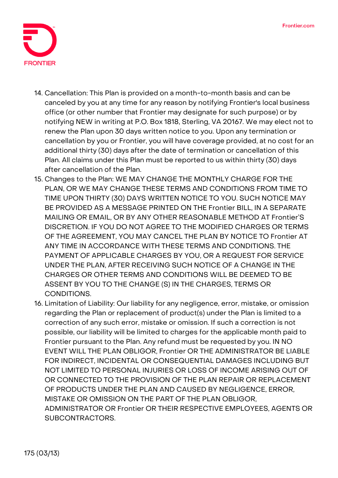

- 14. **Cancellation:** This Plan is provided on a month-to-month basis and can be canceled by you at any time for any reason by notifying Frontier's local business office (or other number that Frontier may designate for such purpose) or by notifying NEW in writing at P.O. Box 1818, Sterling, VA 20167. We may elect not to renew the Plan upon 30 days written notice to you. Upon any termination or cancellation by you or Frontier, you will have coverage provided, at no cost for an additional thirty (30) days after the date of termination or cancellation of this Plan. All claims under this Plan must be reported to us within thirty (30) days after cancellation of the Plan.
- 15. **Changes to the Plan:** WE MAY CHANGE THE MONTHLY CHARGE FOR THE PLAN, OR WE MAY CHANGE THESE TERMS AND CONDITIONS FROM TIME TO TIME UPON THIRTY (30) DAYS WRITTEN NOTICE TO YOU. SUCH NOTICE MAY BE PROVIDED AS A MESSAGE PRINTED ON THE Frontier BILL, IN A SEPARATE MAILING OR EMAIL, OR BY ANY OTHER REASONABLE METHOD AT Frontier'S DISCRETION. IF YOU DO NOT AGREE TO THE MODIFIED CHARGES OR TERMS OF THE AGREEMENT, YOU MAY CANCEL THE PLAN BY NOTICE TO Frontier AT ANY TIME IN ACCORDANCE WITH THESE TERMS AND CONDITIONS. THE PAYMENT OF APPLICABLE CHARGES BY YOU, OR A REQUEST FOR SERVICE UNDER THE PLAN, AFTER RECEIVING SUCH NOTICE OF A CHANGE IN THE CHARGES OR OTHER TERMS AND CONDITIONS WILL BE DEEMED TO BE ASSENT BY YOU TO THE CHANGE (S) IN THE CHARGES, TERMS OR CONDITIONS.
- 16. **Limitation of Liability:** Our liability for any negligence, error, mistake, or omission regarding the Plan or replacement of product(s) under the Plan is limited to a correction of any such error, mistake or omission. If such a correction is not possible, our liability will be limited to charges for the applicable month paid to Frontier pursuant to the Plan. Any refund must be requested by you. IN NO EVENT WILL THE PLAN OBLIGOR, Frontier OR THE ADMINISTRATOR BE LIABLE FOR INDIRECT, INCIDENTAL OR CONSEQUENTIAL DAMAGES INCLUDING BUT NOT LIMITED TO PERSONAL INJURIES OR LOSS OF INCOME ARISING OUT OF OR CONNECTED TO THE PROVISION OF THE PLAN REPAIR OR REPLACEMENT OF PRODUCTS UNDER THE PLAN AND CAUSED BY NEGLIGENCE, ERROR, MISTAKE OR OMISSION ON THE PART OF THE PLAN OBLIGOR, ADMINISTRATOR OR Frontier OR THEIR RESPECTIVE EMPLOYEES, AGENTS OR SUBCONTRACTORS.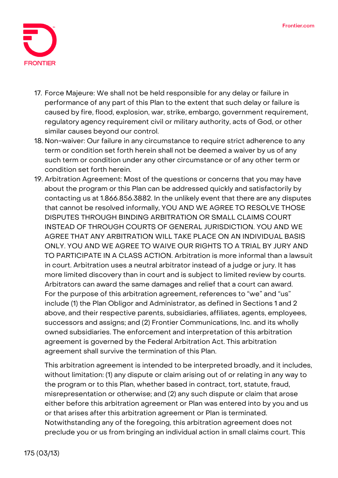

- 17. **Force Majeure:** We shall not be held responsible for any delay or failure in performance of any part of this Plan to the extent that such delay or failure is caused by fire, flood, explosion, war, strike, embargo, government requirement, regulatory agency requirement civil or military authority, acts of God, or other similar causes beyond our control.
- 18. **Non-waiver:** Our failure in any circumstance to require strict adherence to any term or condition set forth herein shall not be deemed a waiver by us of any such term or condition under any other circumstance or of any other term or condition set forth herein.
- 19. **Arbitration Agreement:** Most of the questions or concerns that you may have about the program or this Plan can be addressed quickly and satisfactorily by contacting us at 1.866.856.3882. In the unlikely event that there are any disputes that cannot be resolved informally, **YOU AND WE AGREE TO RESOLVE THOSE DISPUTES THROUGH BINDING ARBITRATION OR SMALL CLAIMS COURT INSTEAD OF THROUGH COURTS OF GENERAL JURISDICTION. YOU AND WE AGREE THAT ANY ARBITRATION WILL TAKE PLACE ON AN INDIVIDUAL BASIS ONLY. YOU AND WE AGREE TO WAIVE OUR RIGHTS TO A TRIAL BY JURY AND TO PARTICIPATE IN A CLASS ACTION.** Arbitration is more informal than a lawsuit in court. Arbitration uses a neutral arbitrator instead of a judge or jury. It has more limited discovery than in court and is subject to limited review by courts. Arbitrators can award the same damages and relief that a court can award. For the purpose of this arbitration agreement, references to "we" and "us" include (1) the Plan Obligor and Administrator, as defined in Sections 1 and 2 above, and their respective parents, subsidiaries, affiliates, agents, employees, successors and assigns; and (2) Frontier Communications, Inc. and its wholly owned subsidiaries. The enforcement and interpretation of this arbitration agreement is governed by the Federal Arbitration Act. This arbitration agreement shall survive the termination of this Plan.

This arbitration agreement is intended to be interpreted broadly, and it includes, without limitation: (1) any dispute or claim arising out of or relating in any way to the program or to this Plan, whether based in contract, tort, statute, fraud, misrepresentation or otherwise; and (2) any such dispute or claim that arose either before this arbitration agreement or Plan was entered into by you and us or that arises after this arbitration agreement or Plan is terminated. Notwithstanding any of the foregoing, this arbitration agreement does not preclude you or us from bringing an individual action in small claims court. This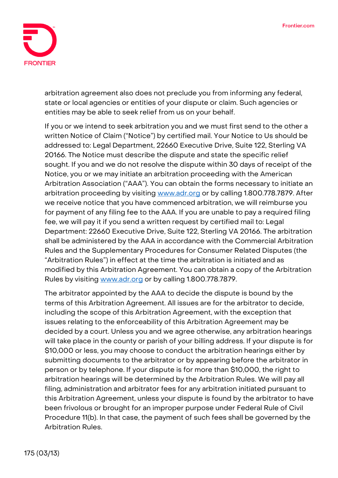

arbitration agreement also does not preclude you from informing any federal, state or local agencies or entities of your dispute or claim. Such agencies or entities may be able to seek relief from us on your behalf.

If you or we intend to seek arbitration you and we must first send to the other a written Notice of Claim ("Notice") by certified mail. Your Notice to Us should be addressed to: Legal Department, 22660 Executive Drive, Suite 122, Sterling VA 20166. The Notice must describe the dispute and state the specific relief sought. If you and we do not resolve the dispute within 30 days of receipt of the Notice, you or we may initiate an arbitration proceeding with the American Arbitration Association ("AAA"). You can obtain the forms necessary to initiate an arbitration proceeding by visiting [www.adr.org](http://www.adr.org/) or by calling 1.800.778.7879. After we receive notice that you have commenced arbitration, we will reimburse you for payment of any filing fee to the AAA. If you are unable to pay a required filing fee, we will pay it if you send a written request by certified mail to: Legal Department: 22660 Executive Drive, Suite 122, Sterling VA 20166. The arbitration shall be administered by the AAA in accordance with the Commercial Arbitration Rules and the Supplementary Procedures for Consumer Related Disputes (the "Arbitration Rules") in effect at the time the arbitration is initiated and as modified by this Arbitration Agreement. You can obtain a copy of the Arbitration Rules by visiting [www.adr.org](http://www.adr.org/) or by calling 1.800.778.7879.

The arbitrator appointed by the AAA to decide the dispute is bound by the terms of this Arbitration Agreement. All issues are for the arbitrator to decide, including the scope of this Arbitration Agreement, with the exception that issues relating to the enforceability of this Arbitration Agreement may be decided by a court. Unless you and we agree otherwise, any arbitration hearings will take place in the county or parish of your billing address. If your dispute is for \$10,000 or less, you may choose to conduct the arbitration hearings either by submitting documents to the arbitrator or by appearing before the arbitrator in person or by telephone. If your dispute is for more than \$10,000, the right to arbitration hearings will be determined by the Arbitration Rules. We will pay all filing, administration and arbitrator fees for any arbitration initiated pursuant to this Arbitration Agreement, unless your dispute is found by the arbitrator to have been frivolous or brought for an improper purpose under Federal Rule of Civil Procedure 11(b). In that case, the payment of such fees shall be governed by the Arbitration Rules.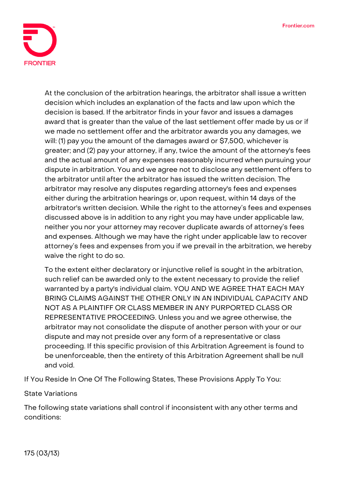

At the conclusion of the arbitration hearings, the arbitrator shall issue a written decision which includes an explanation of the facts and law upon which the decision is based. If the arbitrator finds in your favor and issues a damages award that is greater than the value of the last settlement offer made by us or if we made no settlement offer and the arbitrator awards you any damages, we will: (1) pay you the amount of the damages award or \$7,500, whichever is greater; and (2) pay your attorney, if any, twice the amount of the attorney's fees and the actual amount of any expenses reasonably incurred when pursuing your dispute in arbitration. You and we agree not to disclose any settlement offers to the arbitrator until after the arbitrator has issued the written decision. The arbitrator may resolve any disputes regarding attorney's fees and expenses either during the arbitration hearings or, upon request, within 14 days of the arbitrator's written decision. While the right to the attorney's fees and expenses discussed above is in addition to any right you may have under applicable law, neither you nor your attorney may recover duplicate awards of attorney's fees and expenses. Although we may have the right under applicable law to recover attorney's fees and expenses from you if we prevail in the arbitration, we hereby waive the right to do so.

To the extent either declaratory or injunctive relief is sought in the arbitration, such relief can be awarded only to the extent necessary to provide the relief warranted by a party's individual claim. **YOU AND WE AGREE THAT EACH MAY BRING CLAIMS AGAINST THE OTHER ONLY IN AN INDIVIDUAL CAPACITY AND NOT AS A PLAINTIFF OR CLASS MEMBER IN ANY PURPORTED CLASS OR REPRESENTATIVE PROCEEDING.** Unless you and we agree otherwise, the arbitrator may not consolidate the dispute of another person with your or our dispute and may not preside over any form of a representative or class proceeding. If this specific provision of this Arbitration Agreement is found to be unenforceable, then the entirety of this Arbitration Agreement shall be null and void.

**If You Reside In One Of The Following States, These Provisions Apply To You:**

**State Variations**

The following state variations shall control if inconsistent with any other terms and conditions: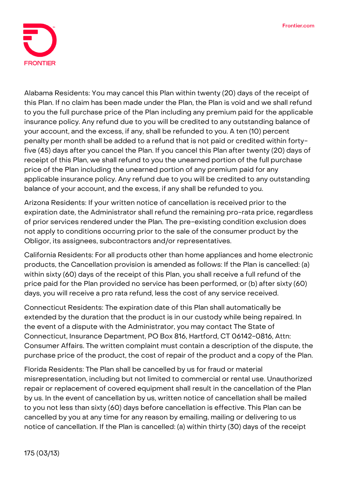

**Alabama Residents:** You may cancel this Plan within twenty (20) days of the receipt of this Plan. If no claim has been made under the Plan, the Plan is void and we shall refund to you the full purchase price of the Plan including any premium paid for the applicable insurance policy. Any refund due to you will be credited to any outstanding balance of your account, and the excess, if any, shall be refunded to you. A ten (10) percent penalty per month shall be added to a refund that is not paid or credited within fortyfive (45) days after you cancel the Plan. If you cancel this Plan after twenty (20) days of receipt of this Plan, we shall refund to you the unearned portion of the full purchase price of the Plan including the unearned portion of any premium paid for any applicable insurance policy. Any refund due to you will be credited to any outstanding balance of your account, and the excess, if any shall be refunded to you.

**Arizona Residents:** If your written notice of cancellation is received prior to the expiration date, the Administrator shall refund the remaining pro-rata price, regardless of prior services rendered under the Plan. The pre-existing condition exclusion does not apply to conditions occurring prior to the sale of the consumer product by the Obligor, its assignees, subcontractors and/or representatives.

**California Residents:** For all products other than home appliances and home electronic products, the Cancellation provision is amended as follows: If the Plan is cancelled: (a) within sixty (60) days of the receipt of this Plan, you shall receive a full refund of the price paid for the Plan provided no service has been performed, or (b) after sixty (60) days, you will receive a pro rata refund, less the cost of any service received.

**Connecticut Residents:** The expiration date of this Plan shall automatically be extended by the duration that the product is in our custody while being repaired. In the event of a dispute with the Administrator, you may contact The State of Connecticut, Insurance Department, PO Box 816, Hartford, CT 06142-0816, Attn: Consumer Affairs. The written complaint must contain a description of the dispute, the purchase price of the product, the cost of repair of the product and a copy of the Plan.

**Florida Residents:** The Plan shall be cancelled by us for fraud or material misrepresentation, including but not limited to commercial or rental use. Unauthorized repair or replacement of covered equipment shall result in the cancellation of the Plan by us. In the event of cancellation by us, written notice of cancellation shall be mailed to you not less than sixty (60) days before cancellation is effective. This Plan can be cancelled by you at any time for any reason by emailing, mailing or delivering to us notice of cancellation. If the Plan is cancelled: (a) within thirty (30) days of the receipt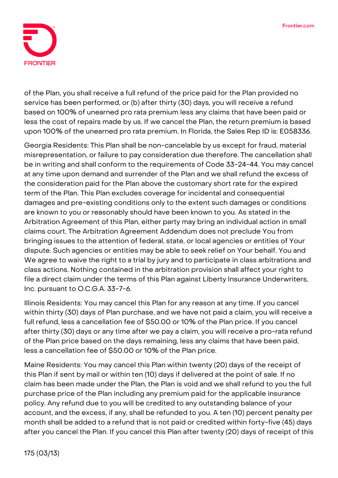

of the Plan, you shall receive a full refund of the price paid for the Plan provided no service has been performed, or (b) after thirty (30) days, you will receive a refund based on 100% of unearned pro rata premium less any claims that have been paid or less the cost of repairs made by us. If we cancel the Plan, the return premium is based upon 100% of the unearned pro rata premium. In Florida, the Sales Rep ID is: E058336.

**Georgia Residents:** This Plan shall be non-cancelable by us except for fraud, material misrepresentation, or failure to pay consideration due therefore. The cancellation shall be in writing and shall conform to the requirements of Code 33-24-44. You may cancel at any time upon demand and surrender of the Plan and we shall refund the excess of the consideration paid for the Plan above the customary short rate for the expired term of the Plan. This Plan excludes coverage for incidental and consequential damages and pre-existing conditions only to the extent such damages or conditions are known to you or reasonably should have been known to you. As stated in the Arbitration Agreement of this Plan, either party may bring an individual action in small claims court. The Arbitration Agreement Addendum does not preclude You from bringing issues to the attention of federal, state, or local agencies or entities of Your dispute. Such agencies or entities may be able to seek relief on Your behalf. You and We agree to waive the right to a trial by jury and to participate in class arbitrations and class actions. Nothing contained in the arbitration provision shall affect your right to file a direct claim under the terms of this Plan against Liberty Insurance Underwriters, Inc. pursuant to O.C.G.A. 33-7-6.

**Illinois Residents:** You may cancel this Plan for any reason at any time. If you cancel within thirty (30) days of Plan purchase, and we have not paid a claim, you will receive a full refund, less a cancellation fee of \$50.00 or 10% of the Plan price. If you cancel after thirty (30) days or any time after we pay a claim, you will receive a pro-rata refund of the Plan price based on the days remaining, less any claims that have been paid, less a cancellation fee of \$50.00 or 10% of the Plan price.

**Maine Residents:** You may cancel this Plan within twenty (20) days of the receipt of this Plan if sent by mail or within ten (10) days if delivered at the point of sale. If no claim has been made under the Plan, the Plan is void and we shall refund to you the full purchase price of the Plan including any premium paid for the applicable insurance policy. Any refund due to you will be credited to any outstanding balance of your account, and the excess, if any, shall be refunded to you. A ten (10) percent penalty per month shall be added to a refund that is not paid or credited within forty-five (45) days after you cancel the Plan. If you cancel this Plan after twenty (20) days of receipt of this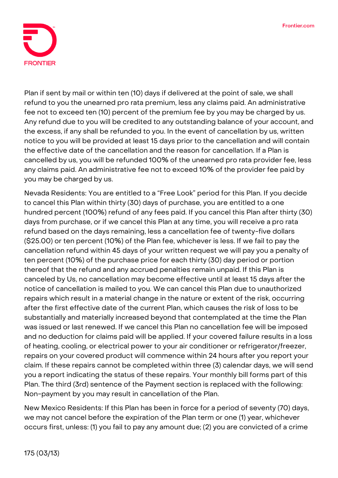

Plan if sent by mail or within ten (10) days if delivered at the point of sale, we shall refund to you the unearned pro rata premium, less any claims paid. An administrative fee not to exceed ten (10) percent of the premium fee by you may be charged by us. Any refund due to you will be credited to any outstanding balance of your account, and the excess, if any shall be refunded to you. In the event of cancellation by us, written notice to you will be provided at least 15 days prior to the cancellation and will contain the effective date of the cancellation and the reason for cancellation. If a Plan is cancelled by us, you will be refunded 100% of the unearned pro rata provider fee, less any claims paid. An administrative fee not to exceed 10% of the provider fee paid by you may be charged by us.

**Nevada Residents:** You are entitled to a "Free Look" period for this Plan. If you decide to cancel this Plan within thirty (30) days of purchase, you are entitled to a one hundred percent (100%) refund of any fees paid. If you cancel this Plan after thirty (30) days from purchase, or if we cancel this Plan at any time, you will receive a pro rata refund based on the days remaining, less a cancellation fee of twenty-five dollars (\$25.00) or ten percent (10%) of the Plan fee, whichever is less. If we fail to pay the cancellation refund within 45 days of your written request we will pay you a penalty of ten percent (10%) of the purchase price for each thirty (30) day period or portion thereof that the refund and any accrued penalties remain unpaid. If this Plan is canceled by Us, no cancellation may become effective until at least 15 days after the notice of cancellation is mailed to you. We can cancel this Plan due to unauthorized repairs which result in a material change in the nature or extent of the risk, occurring after the first effective date of the current Plan, which causes the risk of loss to be substantially and materially increased beyond that contemplated at the time the Plan was issued or last renewed. If we cancel this Plan no cancellation fee will be imposed and no deduction for claims paid will be applied. If your covered failure results in a loss of heating, cooling, or electrical power to your air conditioner or refrigerator/freezer, repairs on your covered product will commence within 24 hours after you report your claim. If these repairs cannot be completed within three (3) calendar days, we will send you a report indicating the status of these repairs. Your monthly bill forms part of this Plan. The third (3rd) sentence of the Payment section is replaced with the following: Non-payment by you may result in cancellation of the Plan.

**New Mexico Residents:** If this Plan has been in force for a period of seventy (70) days, we may not cancel before the expiration of the Plan term or one (1) year, whichever occurs first, unless: (1) you fail to pay any amount due; (2) you are convicted of a crime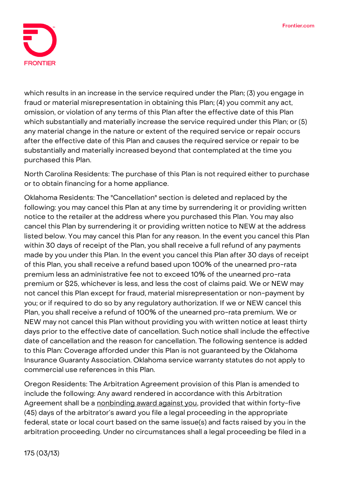

which results in an increase in the service required under the Plan; (3) you engage in fraud or material misrepresentation in obtaining this Plan; (4) you commit any act, omission, or violation of any terms of this Plan after the effective date of this Plan which substantially and materially increase the service required under this Plan; or (5) any material change in the nature or extent of the required service or repair occurs after the effective date of this Plan and causes the required service or repair to be substantially and materially increased beyond that contemplated at the time you purchased this Plan.

**North Carolina Residents:** The purchase of this Plan is not required either to purchase or to obtain financing for a home appliance.

**Oklahoma Residents:** The "Cancellation" section is deleted and replaced by the following: you may cancel this Plan at any time by surrendering it or providing written notice to the retailer at the address where you purchased this Plan. You may also cancel this Plan by surrendering it or providing written notice to NEW at the address listed below. You may cancel this Plan for any reason. In the event you cancel this Plan within 30 days of receipt of the Plan, you shall receive a full refund of any payments made by you under this Plan. In the event you cancel this Plan after 30 days of receipt of this Plan, you shall receive a refund based upon 100% of the unearned pro-rata premium less an administrative fee not to exceed 10% of the unearned pro-rata premium or \$25, whichever is less, and less the cost of claims paid. We or NEW may not cancel this Plan except for fraud, material misrepresentation or non-payment by you; or if required to do so by any regulatory authorization. If we or NEW cancel this Plan, you shall receive a refund of 100% of the unearned pro-rata premium. We or NEW may not cancel this Plan without providing you with written notice at least thirty days prior to the effective date of cancellation. Such notice shall include the effective date of cancellation and the reason for cancellation. The following sentence is added to this Plan: Coverage afforded under this Plan is not guaranteed by the Oklahoma Insurance Guaranty Association. Oklahoma service warranty statutes do not apply to commercial use references in this Plan.

**Oregon Residents:** The Arbitration Agreement provision of this Plan is amended to include the following: **Any award rendered in accordance with this Arbitration Agreement shall be a nonbinding award against you**, provided that within forty-five (45) days of the arbitrator's award you file a legal proceeding in the appropriate federal, state or local court based on the same issue(s) and facts raised by you in the arbitration proceeding. Under no circumstances shall a legal proceeding be filed in a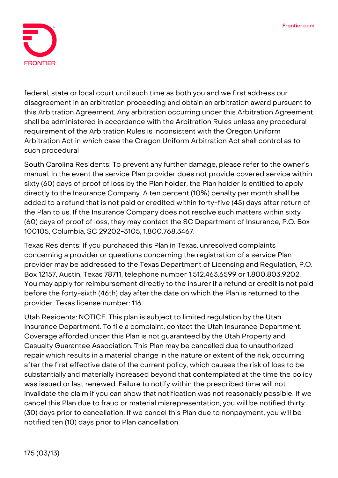

federal, state or local court until such time as both you and we first address our disagreement in an arbitration proceeding and obtain an arbitration award pursuant to this Arbitration Agreement. Any arbitration occurring under this Arbitration Agreement shall be administered in accordance with the Arbitration Rules unless any procedural requirement of the Arbitration Rules is inconsistent with the Oregon Uniform Arbitration Act in which case the Oregon Uniform Arbitration Act shall control as to such procedural

**South Carolina Residents:** To prevent any further damage, please refer to the owner's manual. In the event the service Plan provider does not provide covered service within sixty (60) days of proof of loss by the Plan holder, the Plan holder is entitled to apply directly to the Insurance Company. A ten percent (10%) penalty per month shall be added to a refund that is not paid or credited within forty-five (45) days after return of the Plan to us. If the Insurance Company does not resolve such matters within sixty (60) days of proof of loss, they may contact the SC Department of Insurance, P.O. Box 100105, Columbia, SC 29202-3105, 1.800.768.3467.

**Texas Residents:** If you purchased this Plan in Texas, unresolved complaints concerning a provider or questions concerning the registration of a service Plan provider may be addressed to the Texas Department of Licensing and Regulation, P.O. Box 12157, Austin, Texas 78711, telephone number 1.512.463.6599 or 1.800.803.9202. You may apply for reimbursement directly to the insurer if a refund or credit is not paid before the forty-sixth (46th) day after the date on which the Plan is returned to the provider. Texas license number: 116.

**Utah Residents: NOTICE. This plan is subject to limited regulation by the Utah Insurance Department.** To file a complaint, contact the Utah Insurance Department. Coverage afforded under this Plan is not guaranteed by the Utah Property and Casualty Guarantee Association. This Plan may be cancelled due to unauthorized repair which results in a material change in the nature or extent of the risk, occurring after the first effective date of the current policy, which causes the risk of loss to be substantially and materially increased beyond that contemplated at the time the policy was issued or last renewed. Failure to notify within the prescribed time will not invalidate the claim if you can show that notification was not reasonably possible. If we cancel this Plan due to fraud or material misrepresentation, you will be notified thirty (30) days prior to cancellation. If we cancel this Plan due to nonpayment, you will be notified ten (10) days prior to Plan cancellation.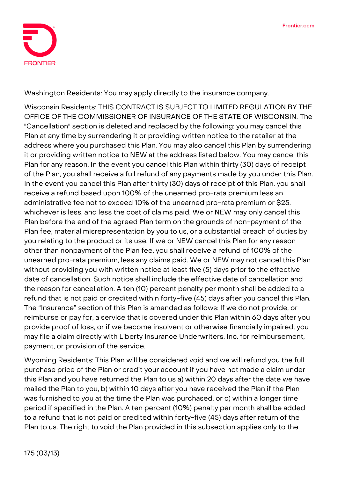

**Washington Residents:** You may apply directly to the insurance company.

**Wisconsin Residents: THIS CONTRACT IS SUBJECT TO LIMITED REGULATION BY THE OFFICE OF THE COMMISSIONER OF INSURANCE OF THE STATE OF WISCONSIN.** The "Cancellation" section is deleted and replaced by the following: you may cancel this Plan at any time by surrendering it or providing written notice to the retailer at the address where you purchased this Plan. You may also cancel this Plan by surrendering it or providing written notice to NEW at the address listed below. You may cancel this Plan for any reason. In the event you cancel this Plan within thirty (30) days of receipt of the Plan, you shall receive a full refund of any payments made by you under this Plan. In the event you cancel this Plan after thirty (30) days of receipt of this Plan, you shall receive a refund based upon 100% of the unearned pro-rata premium less an administrative fee not to exceed 10% of the unearned pro-rata premium or \$25, whichever is less, and less the cost of claims paid. We or NEW may only cancel this Plan before the end of the agreed Plan term on the grounds of non-payment of the Plan fee, material misrepresentation by you to us, or a substantial breach of duties by you relating to the product or its use. If we or NEW cancel this Plan for any reason other than nonpayment of the Plan fee, you shall receive a refund of 100% of the unearned pro-rata premium, less any claims paid. We or NEW may not cancel this Plan without providing you with written notice at least five (5) days prior to the effective date of cancellation. Such notice shall include the effective date of cancellation and the reason for cancellation. A ten (10) percent penalty per month shall be added to a refund that is not paid or credited within forty-five (45) days after you cancel this Plan. The "Insurance" section of this Plan is amended as follows: If we do not provide, or reimburse or pay for, a service that is covered under this Plan within 60 days after you provide proof of loss, or if we become insolvent or otherwise financially impaired, you may file a claim directly with Liberty Insurance Underwriters, Inc. for reimbursement, payment, or provision of the service.

**Wyoming Residents:** This Plan will be considered void and we will refund you the full purchase price of the Plan or credit your account if you have not made a claim under this Plan and you have returned the Plan to us a) within 20 days after the date we have mailed the Plan to you, b) within 10 days after you have received the Plan if the Plan was furnished to you at the time the Plan was purchased, or c) within a longer time period if specified in the Plan. A ten percent (10%) penalty per month shall be added to a refund that is not paid or credited within forty-five (45) days after return of the Plan to us. The right to void the Plan provided in this subsection applies only to the